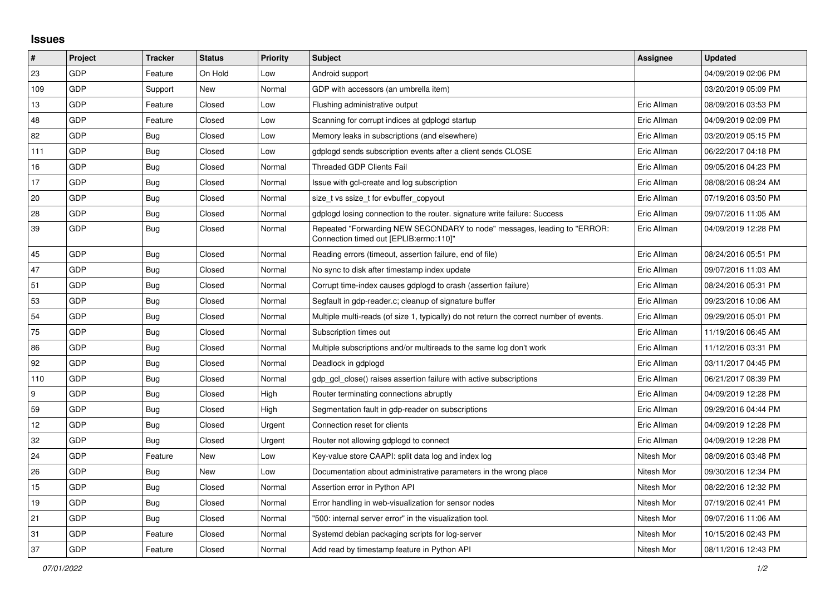## **Issues**

| $\vert$ #        | Project    | <b>Tracker</b> | <b>Status</b> | <b>Priority</b> | <b>Subject</b>                                                                                                      | Assignee    | <b>Updated</b>      |
|------------------|------------|----------------|---------------|-----------------|---------------------------------------------------------------------------------------------------------------------|-------------|---------------------|
| 23               | GDP        | Feature        | On Hold       | Low             | Android support                                                                                                     |             | 04/09/2019 02:06 PM |
| 109              | GDP        | Support        | <b>New</b>    | Normal          | GDP with accessors (an umbrella item)                                                                               |             | 03/20/2019 05:09 PM |
| 13               | GDP        | Feature        | Closed        | Low             | Flushing administrative output                                                                                      | Eric Allman | 08/09/2016 03:53 PM |
| 48               | <b>GDP</b> | Feature        | Closed        | Low             | Scanning for corrupt indices at gdplogd startup                                                                     | Eric Allman | 04/09/2019 02:09 PM |
| 82               | GDP        | Bug            | Closed        | Low             | Memory leaks in subscriptions (and elsewhere)                                                                       | Eric Allman | 03/20/2019 05:15 PM |
| 111              | GDP        | Bug            | Closed        | Low             | gdplogd sends subscription events after a client sends CLOSE                                                        | Eric Allman | 06/22/2017 04:18 PM |
| 16               | <b>GDP</b> | Bug            | Closed        | Normal          | Threaded GDP Clients Fail                                                                                           | Eric Allman | 09/05/2016 04:23 PM |
| 17               | GDP        | Bug            | Closed        | Normal          | Issue with gcl-create and log subscription                                                                          | Eric Allman | 08/08/2016 08:24 AM |
| 20               | GDP        | <b>Bug</b>     | Closed        | Normal          | size_t vs ssize_t for evbuffer_copyout                                                                              | Eric Allman | 07/19/2016 03:50 PM |
| 28               | GDP        | <b>Bug</b>     | Closed        | Normal          | gdplogd losing connection to the router. signature write failure: Success                                           | Eric Allman | 09/07/2016 11:05 AM |
| 39               | GDP        | <b>Bug</b>     | Closed        | Normal          | Repeated "Forwarding NEW SECONDARY to node" messages, leading to "ERROR:<br>"Connection timed out [EPLIB:errno:110] | Eric Allman | 04/09/2019 12:28 PM |
| 45               | <b>GDP</b> | Bug            | Closed        | Normal          | Reading errors (timeout, assertion failure, end of file)                                                            | Eric Allman | 08/24/2016 05:51 PM |
| 47               | GDP        | Bug            | Closed        | Normal          | No sync to disk after timestamp index update                                                                        | Eric Allman | 09/07/2016 11:03 AM |
| 51               | GDP        | Bug            | Closed        | Normal          | Corrupt time-index causes gdplogd to crash (assertion failure)                                                      | Eric Allman | 08/24/2016 05:31 PM |
| 53               | GDP        | Bug            | Closed        | Normal          | Segfault in gdp-reader.c; cleanup of signature buffer                                                               | Eric Allman | 09/23/2016 10:06 AM |
| 54               | <b>GDP</b> | Bug            | Closed        | Normal          | Multiple multi-reads (of size 1, typically) do not return the correct number of events.                             | Eric Allman | 09/29/2016 05:01 PM |
| 75               | GDP        | Bug            | Closed        | Normal          | Subscription times out                                                                                              | Eric Allman | 11/19/2016 06:45 AM |
| 86               | GDP        | Bug            | Closed        | Normal          | Multiple subscriptions and/or multireads to the same log don't work                                                 | Eric Allman | 11/12/2016 03:31 PM |
| 92               | <b>GDP</b> | <b>Bug</b>     | Closed        | Normal          | Deadlock in gdplogd                                                                                                 | Eric Allman | 03/11/2017 04:45 PM |
| 110              | GDP        | <b>Bug</b>     | Closed        | Normal          | gdp_gcl_close() raises assertion failure with active subscriptions                                                  | Eric Allman | 06/21/2017 08:39 PM |
| $\boldsymbol{9}$ | GDP        | <b>Bug</b>     | Closed        | High            | Router terminating connections abruptly                                                                             | Eric Allman | 04/09/2019 12:28 PM |
| 59               | GDP        | Bug            | Closed        | High            | Segmentation fault in gdp-reader on subscriptions                                                                   | Eric Allman | 09/29/2016 04:44 PM |
| 12               | GDP        | Bug            | Closed        | Urgent          | Connection reset for clients                                                                                        | Eric Allman | 04/09/2019 12:28 PM |
| 32               | <b>GDP</b> | Bug            | Closed        | Urgent          | Router not allowing gdplogd to connect                                                                              | Eric Allman | 04/09/2019 12:28 PM |
| 24               | GDP        | Feature        | New           | Low             | Key-value store CAAPI: split data log and index log                                                                 | Nitesh Mor  | 08/09/2016 03:48 PM |
| 26               | <b>GDP</b> | Bug            | <b>New</b>    | Low             | Documentation about administrative parameters in the wrong place                                                    | Nitesh Mor  | 09/30/2016 12:34 PM |
| 15               | GDP        | <b>Bug</b>     | Closed        | Normal          | Assertion error in Python API                                                                                       | Nitesh Mor  | 08/22/2016 12:32 PM |
| 19               | GDP        | Bug            | Closed        | Normal          | Error handling in web-visualization for sensor nodes                                                                | Nitesh Mor  | 07/19/2016 02:41 PM |
| 21               | <b>GDP</b> | <b>Bug</b>     | Closed        | Normal          | "500: internal server error" in the visualization tool.                                                             | Nitesh Mor  | 09/07/2016 11:06 AM |
| 31               | GDP        | Feature        | Closed        | Normal          | Systemd debian packaging scripts for log-server                                                                     | Nitesh Mor  | 10/15/2016 02:43 PM |
| 37               | <b>GDP</b> | Feature        | Closed        | Normal          | Add read by timestamp feature in Python API                                                                         | Nitesh Mor  | 08/11/2016 12:43 PM |